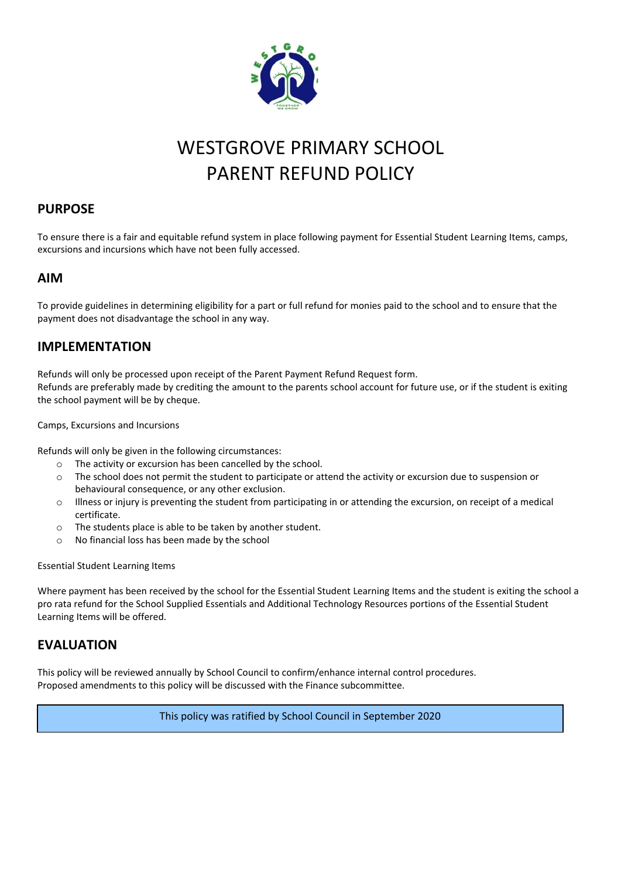

### WESTGROVE PRIMARY SCHOOL PARENT REFUND POLICY

#### **PURPOSE**

To ensure there is a fair and equitable refund system in place following payment for Essential Student Learning Items, camps, excursions and incursions which have not been fully accessed.

#### **AIM**

To provide guidelines in determining eligibility for a part or full refund for monies paid to the school and to ensure that the payment does not disadvantage the school in any way.

#### **IMPLEMENTATION**

Refunds will only be processed upon receipt of the Parent Payment Refund Request form. Refunds are preferably made by crediting the amount to the parents school account for future use, or if the student is exiting the school payment will be by cheque.

Camps, Excursions and Incursions

Refunds will only be given in the following circumstances:

- o The activity or excursion has been cancelled by the school.
- o The school does not permit the student to participate or attend the activity or excursion due to suspension or behavioural consequence, or any other exclusion.
- o Illness or injury is preventing the student from participating in or attending the excursion, on receipt of a medical certificate.
- o The students place is able to be taken by another student.
- o No financial loss has been made by the school

Essential Student Learning Items

Where payment has been received by the school for the Essential Student Learning Items and the student is exiting the school a pro rata refund for the School Supplied Essentials and Additional Technology Resources portions of the Essential Student Learning Items will be offered.

#### **EVALUATION**

This policy will be reviewed annually by School Council to confirm/enhance internal control procedures. Proposed amendments to this policy will be discussed with the Finance subcommittee.

This policy was ratified by School Council in September 2020